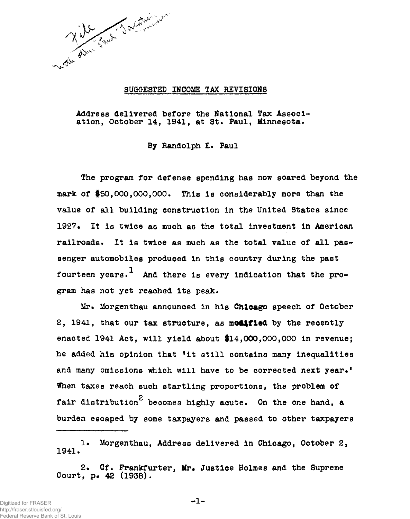

### SUGGESTED INCOME TAX REVISIONS

Address delivered before the National Tax Association, October 14, 1941, at St. Paul, Minnesota.

By Randolph E. Paul

The program for defense spending has now soared beyond the mark of \$50,000,000,000. This is considerably more than the value of all building construction in the United States since 1927. It is twice as much as the total investment in American railroads. It is twice as much as the total value of all passenger automobiles produced in this country during the past fourteen years.<sup>1</sup> And there is every indication that the program has not yet reached its peak.

Mr. Morgenthau announced in his Chicago speech of October 2, 1941, that our tax structure, as modified by the recently enacted 1941 Act, will yield about \$14,000,000,000 in revenue; he added his opinion that "it still contains many inequalities and many omissions which will have to be corrected next year." When taxes reach such startling proportions, the problem of **2**  fair distribution becomes highly acute. On the one hand, a burden escaped by some taxpayers and passed to other taxpayers burden escaped by some taxpayers and passed to other taxpayers and passed to other taxpayers and passed to other taxpayers and passed to other taxpayers and passed to other taxpayers and passed to other taxpayers and passe

!• Morgenthau, Address delivered in Chicago, October 2, 1941.

2. Cf. Frankfurter, Mr. Justice Holmes and the Supreme Court, p.  $42$  (1938).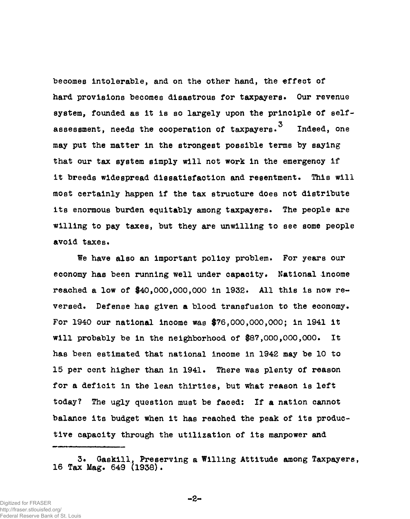becomes intolerable, and on the other hand, the effect of hard provisions becomes disastrous for taxpayers• Our revenue system, founded as it is so largely upon the principle of selfassessment, needs the cooperation of taxpayers.<sup>3</sup> Indeed, one may put the matter in the strongest possible terms by saying that our tax system simply will not work in the emergency if it breeds widespread dissatisfaction and resentment. This will most certainly happen if the tax structure does not distribute its enormous burden equitably among taxpayers. The people are willing to pay taxes, but they are unwilling to see some people avoid taxes.

We have also an important policy problem. For years our economy has been running well under capacity. National income reached a low of \$40,000,000,000 in 1932. All this is now reversed. Defense has given a blood transfusion to the economy. For 1940 our national income was \$76,000,000,000; in 1941 it will probably be in the neighborhood of \$87,000,000,000. It has been estimated that national income in 1942 may be 10 to 15 per cent higher than in 1941. There was plenty of reason for a deficit in the lean thirties, but what reason is left today? The ugly question must be faced: If a nation cannot balance its budget when it has reached the peak of its productive capacity through the utilization of its manpower and

**-2-**

<sup>3.</sup> Gaskill, Preserving a Willing Attitude among Taxpayers, 16 Tax Mag. 649 (1938).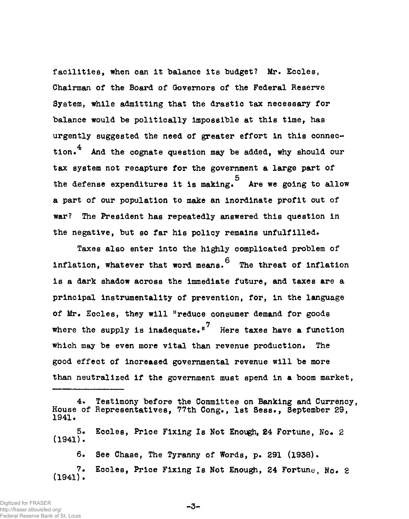facilities, when can it balance its budget? Mr. Eccles, Chairman of the Board of Governors of the Federal Reserve System, while admitting that the drastic tax necessary for balance would be politically impossible at this time, has urgently suggested the need of greater effort in this connec-4 tion.<sup>\*</sup> And the cognate question may be added, why should our tax system not recapture for the government a large part of the defense expenditures it is making. Are we going to allow the defense expenditures it is making. Are we going to allow a part of our population to make an inordinate profit out of war? ware the President has repeated the President has repeated the President of the President of this question in the President of the President of the President of the President of the President of the President of the Presid  $\mathbf{t}$  is policy remains unfulfilled. The negative, but so far his policy remains unfulfilled.

Taxes also enter into the highly complicated problem of<br>inflation. whatever that word means.<sup>6</sup> The threat of inflation inflation, where the threat of inflation, where  $\alpha$  is the threat of inflation. The threat of inflation  $\alpha$ is a dark shadow across the immediate function  $\mathcal{L}_{\mathcal{A}}$  and taxes are and taxes are and taxes are and taxes are and taxes are and taxes are and taxes are and taxes are and taxes are and taxes are and taxes are and t principal instrumentality of prevention, for, in the language  $\frac{1}{\sqrt{2}}$  , they will define consumer demand  $\frac{1}{\sqrt{2}}$ where the supply is inadequate. Here taxes have a function The which may be even more vital than revenue production. The  $\frac{1}{2}$ than neutralized if the government must spend in a boom market,

6. See Chase, The Tyranny of Words, p. 291 (1938). 7. Eccles, Price Fixing Is Not Enough, 24 Fortune, No. 2 (1941).

-3-

<sup>4.</sup> Testimony before the Committee on Banking and Currency, House of Representatives, 77th Cong., 1st Sess., September 29, 1941.

<sup>5.</sup> Eccles, Price Fixing Is Not Enough, 24 Fortune, No. 2 (1941).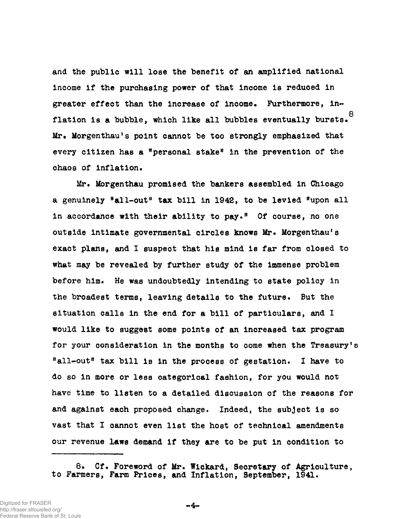and the public will lose the benefit of an amplified national income if the purchasing power of that income is reduced in greater effect than the increase of income. Furthermore, in-**8**  flation is a bubble, which like all bubbles eventually bursts.  $Mr$ . Morgenthau's point cannot be too strongly emphasized that every citizen has a "personal stake" in the prevention of the every citizen has a "personal stake" in the prevention of the

Mr. Morgenthau promised the bankers assembled in Chicago a genuinely "all-out" tax bill-out "all-out" tax bill in 1942, to be level to be levied "upon" tax bill in 194<br>The levies of the levies of the levies of the levies of the levies of the levies of the levies of the levies o in accordance with their ability to pay." Of course, no one outside intimate governmental circles knows Mr. Morgenthau's exact plans, and I suspect that his mind is far from closed to exact plans, and I suspect that his mind is far from closed to the from closed to the from closed to the from c<br>I suspect to the from closed to the from closed to the from closed to the from closed to the from closed to th where  $\mathcal{L}_{\text{max}}$  is the immediate the immense problem study  $\mathcal{L}_{\text{max}}$ before him. He was undoubtedly intending to state policy in before him. He was understanding to state policy intending to state policy intending to state policy intending to state policy in the broadest terms, leaving details to the future. But the situation calls in the end for a bill of particulars, and I situation calls in the end for a bill of particulars, and I are a bill of particulars, and I are a bill of par  $\omega$  is suggest some points of an increase tax program points of an increase  $\alpha$ for your consideration in the months to come when the Treasury's "all-out" tax bill-out " tax bill is in the process of gestation. I have to get a process of gestation. I have t<br>I have to get a process of gestation. I have to get a process of gestation. I have to get a process of gestat do so in more or less categorical fashion, for you would not do so in more or less categorical fashion, for you would not have time to listen to a detailed discussion of the reasons for and against each proposed change. In determining  $\mathcal{L}$ our revenue laws demand if they are to be put in condition to

8. Cf. Foreword of Mr. Wickard, Secretary of Agriculture, to Farmers, Farm Prices, and Inflation, September, 1941.

 $-4-$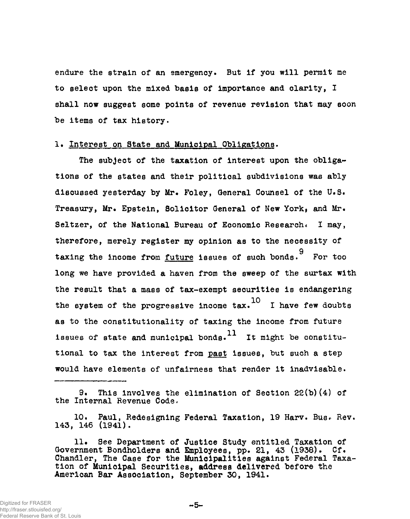endure the strain of an emergency. But if you will permit me to select upon the mixed basis of importance and clarity, I shall now suggest some points of revenue revision that may soon be items of tax history.

### 1. Interest on State and Municipal Obligations.

The subject of the taxation of interest upon the obligations of the states and their political subdivisions was ably discussed yesterday by Mr. Foley, General Counsel of the U.S. Treasury, Mr. Epstein, Solicitor General of New York, and Mr. Seltzer, of the National Bureau of Economic Research< I may, therefore, merely register my opinion as to the necessity of 9 taxing the income future issues of such bonds. For the income future issues of such bonds. For the income future is<br>The income future is the income future issues of such bonds. For the income future is the income future is  $\mathbf{e}$  we have provided a haven from the surtax with surface  $\mathbf{e}$  $t_{\rm max}$  a mass of tax-exempt securities is enough securities is  $t_{\rm max}$ the system of the progressive fillence tax. 1 have few doubts as to the constitutionality of taxing the income from future. issues of state and municipal bonds.<sup>11</sup> It might be constitutional to tax the interest from past issues, but such a step would have elements of unfairness that render it is in the control of under it in the control of under it is i<br>In the control of under it is in the control of under it is in the control of under it is in the control of un

9. This Involves the elimination of Section 22(b)(4) of the Internal Revenue Code.

10. Paul, Redesigning Federal Taxation, 19 Harv. Busr Rev. 143, 146 (1941).

11. See Department of Justice Study entitled Taxation of Government Bondholders and Employees, pp. 21, 43 (1938). Cf. Chandler, The Case for the Municipalities against Federal Taxation of Municipal Securities, address delivered before the American Bar Association, September 30, 1941.

 $-5-$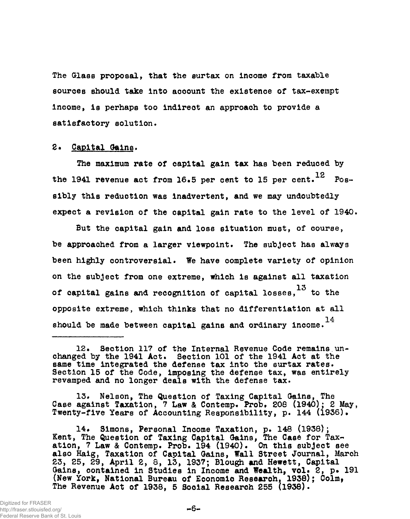The Glass proposal, that the surtax on Income from taxable sources should take Into aooount the existence of tax-exempt Income, Is perhaps too Indirect an approach to provide a satisfactory solution.

### 2. Capital Gains.

The maximum rate of capital gain tax has been reduced by 12 the 1941 revenue act from 16.5 per cent to 15 per cent. Posexpect a revision of the capital gain rate to the level of 1940.

expect a revision of the capital gain rate to the level of 1940.

be approached from a larger viewpoint. The subject has always been highly controversial. We have complete variety of opinion on the subject from one extreme, which is against all taxation of capital gains and recognition of capital losses,  $^{13}$  to the opposite extreme, which thinks that no differentiation at all should be made between capital gains and ordinary income.  $^{14}$ 

13. Nelson, The Question of Taxing Capital Gains, The Case against Taxation, 7 Law & Contemp. Prob, 208 (1940); 2 May, Twenty-five Years of Accounting Responsibility, p. 144 (1936).

14. Simons, Personal Income Taxation, p. 148 (1938); Kent, The Question of Taxing Capital Gains, The Case for Taxation, 7 Law & Contemp. Prob. 194 (1940). On this subject see also Haig, Taxation of Capital Gains, Wall Street Journal, March 23, 25, 29, April 2, 8, 13, 1937; Blough and Hewett, Capital Gains, contained in Studies in Income and Wealth, vol. 2, p. 191 (New York, National Bureau of Economio Researoh, 1938); Colm, The Revenue Act of 1938, 5 Sooial Research 255 (1938).

<sup>12.</sup> Section 117 of the Internal Revenue Code remains unchanged by the 1941 Act. Section 101 of the 1941 Act at the same time integrated the defense tax into the surtax rates. Section 15 of the Code, imposing the defense tax, was entirely revamped and no longer deals with the defense tax.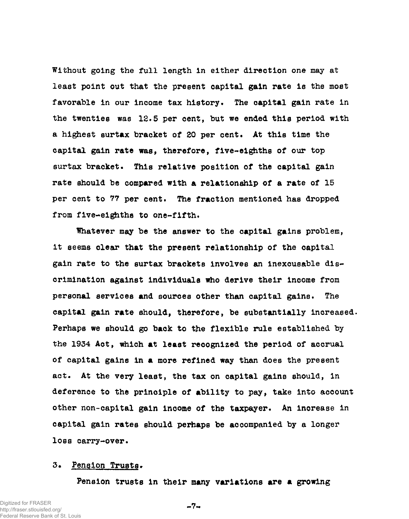Without going the full length in either direction one may at least point out that the present capital gain rate is the most favorable in our income tax history. The capital gain rate in the twenties was 12.5 per cent, but we ended this period with a highest surtax bracket of 20 per cent. At this time the capital gain rate was, therefore, five-eighths of our top surtax bracket. This relative position of the capital gain rate should be compared with a relationship of a rate of 15 per cent to 77 per cent. The fraction mentioned has dropped from five-eighths to one-fifth.

Whatever may be the answer to the capital gains problem, it seems clear that the present relationship of the capital gain rate to the surtax brackets involves an inexcusable discrimination against individuals who derive their Income from personal services and sources other than capital gains. The capital gain rate should, therefore, be substantially increased. Perhaps we should go back to the flexible rule established by the 1934 Act, which at least recognized the period of accrual of capital gains in a more refined way than does the present act. At the very least, the tax on capital gains should, in deference to the principle of ability to pay, take into account other non-capital gain income of the taxpayer. An increase in capital gain rates should perhaps be accompanied by a longer loss carry-over.

### 3. Pension Trusts.

Pension trusts in their many variations are a growing

Digitized for FRASER http://fraser.stlouisfed.org/ Federal Reserve Bank of St. Louis

 $-7-$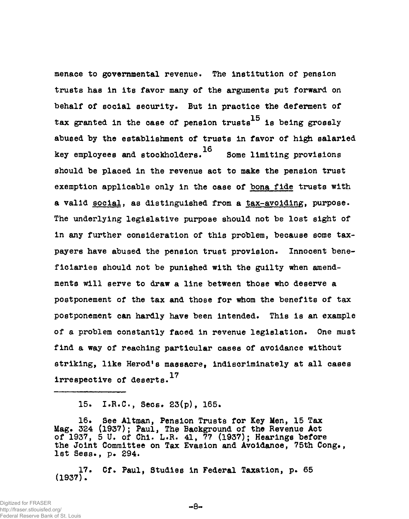menace to governmental revenue. The Institution of pension trusts has in its favor many of the arguments put forward on behalf of social security. But in practice the deferment of tax granted in the case of pension trusts  $^{15}$  is being grossly abused by the establishment of trusts in favor of high salaried 16 key employees and stockholders. Some limiting provisions and stockholders. Some limiting provisions and stockhol should be placed in the revenue act to make the pension trust exemption applicable only in the case of bona fide trusts with the case of bona fide trusts with the case of bona fide trusts with the case of bona fide trusts with the case of bona fide trusts with the case of bona fide t a valid social, as distinguished from a tax-avoiding, purpose. a valid social, as distinguished from a tax-avoiding, purpose. The social social social social social social s<br>- The social social social social social social social social social social social social social social social<br> The underlying legislative purpose should not be lost sight of in any further consideration of this problem, because some taxpayers have abused the pension trust provision. Innocent beneficiaries should not be punished with the guilty when amendpostponement of the tax and those for whom the benefits of tax postponement of the tax and tax and tax and tax and tax and tax and tax and tax and tax and tax and tax and tax postponement can hardly have been intended. This is an example postponement can hardly have been intended. This is an example of a problem constantly faced in revenue legislation. One must find a way of reaching particular cases of avoidance without striking, like Herod's massacre, indiscriminately at all cases<br>irrespective of deserts.<sup>17</sup>

15. I.B.C., Sees. 23(p), 165.

16# See Altman, Pension Trusts for Key Men, 15 Tax Mag. 324 (1937); Paul, The Background of the Revenue Act of 1937, 5 U. of Chi. L.R. 41, 77 (1937); Hearings before the Joint Committee on Tax Evasion and Avoidance, 75th Cong., 1st Sess., p. 294.

17 • Cf. Paul, Studies in Federal Taxation, p. 65 (1937).

Digitized for FRASER http://fraser.stlouisfed.org/ Federal Reserve Bank of St. Louis

**-8-**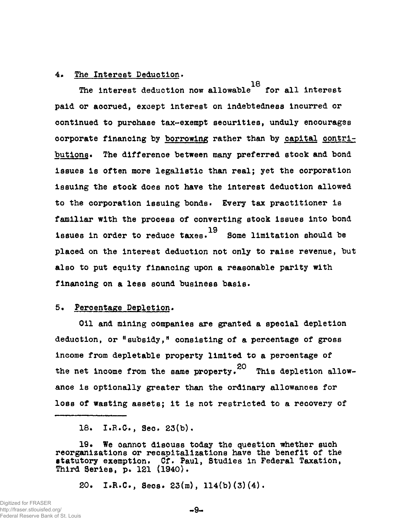### 4. The Interest Deduction.

**18**  The interest deduction now allowable for all interest paid or accrued, except interest on indebtedness incurred or continued to purchase tax-exempt securities, unduly encourages corporate financing by borrowing rather than by capital contributions. The difference between many preferred stock and bond issues is often more legalistic than real; yet the corporation issuing the stock does not have the Interest deduction allowed to the corporation issuing bonds• Every tax practitioner is familiar with the process of converting stock Issues into bond issues in order to reduce taxes. 19<br>Some limitation should be placed on the interest deduction not only to raise revenue, but also to put equity financing upon a reasonable parity with

# 5. Percentage Depletion.

financing on a less sound business basis.

Oil and mining companies are granted a special depletion deduction, or "subsidy," consisting of a percentage of gross income from depletable property limited to a percentage of the net income from the same property.  $^{20}$  This depletion allowance is optionally greater than the ordinary allowances for loss of wasting assets; it is not restricted to a recovery of

loss of wasting assets; it is not restricted to a recovery of

18. I.R.G., Sec. 23(b).

19. We oannot discuss today the question whether such reorganizations or recapitalizations have the benefit of the statutory exemption. Cf. Paul, Studies in Federal Taxation, Third Series, p. 121 (1940).

20. I.R.C., Secs.  $23(m)$ ,  $114(b)(3)(4)$ .

**9-**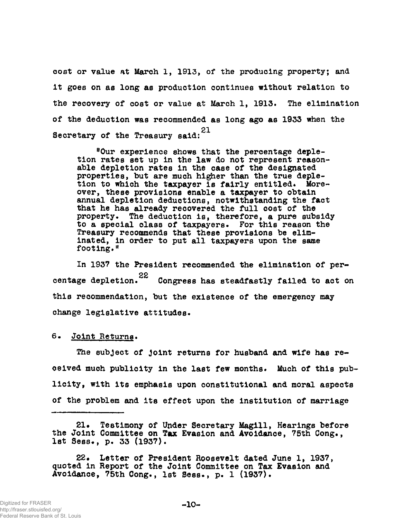cost or value at March 1, 1913, of the producing property; and It goes on as long as production continues without relation to the recovery of cost or value at March 1, 1913. The elimination of the deduction was recommended as long ago as 1933 when the **21**  Secretary of the Treasury said:

"Our experience shows that the percentage depletion rates set up in the law do not represent reasonable depletion rates in the case of the designated properties, but are much higher than the true depletion to which the taxpayer is fairly entitled. Moreover, these provisions enable a taxpayer to obtain annual depletion deductions, notwithstanding the fact that he has already recovered the full cost of the property. The deduction is, therefore, a pure subsidy to a special class of taxpayers. For this reason the Treasury recommends that these provisions be eliminated, in order to put all taxpayers upon the same footing."

In 1937 the President recommended the elimination of percentage depletion.<sup>22</sup> Congress has steadfastly failed to act on centage depletion. Congress has steadfastly failed to act on this recommendation, but the existence of the emergency may change legislative attitudes.

#### 6» Joint Returns.

The subject of Joint returns for husband and wife has received much publicity in the last few months. Much of this pub licity, with its emphasis upon constitutional and moral aspects of the problem and its effect upon the institution of marriage

21. Testimony of Under Secretary Magill, Hearings before the Joint Committee on Tax Evasion and Avoidance, 75th Cong., 1st Sess., p. 33 (1937).

22. Letter of President Roosevelt dated June 1, 1937, quoted in Report of the Joint Committee on Tax Evasion and Avoidance, 75th Cong., 1st Sess., p. 1 (1937).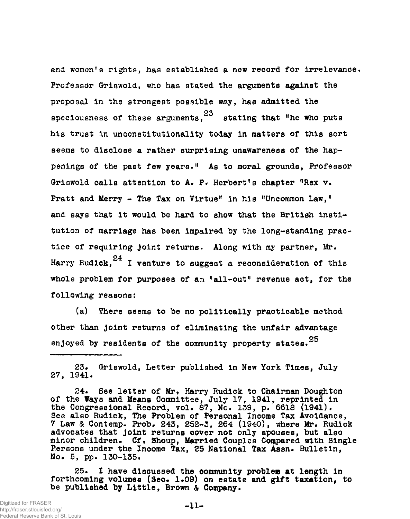and women's rights, has established a new record for irrelevance. Professor Griswold, who has stated the arguments against the proposal in the strongest possible way, has admitted the apeciousness of these arguments.  $23$  stating that "he who puts his trust in unconstitutionality today in matters of this sort his trust in unconstitutionality today in matters of this sort seems to disclose a rather surprising unawareness of the happenings of the past few years." As to moral grounds, Professor Griswold calls attention to A. P. Herbert's chapter "Rex v. Pratt and Merry - The Tax on Virtue" in his "Uncommon Law," and says that it would be hard to show that the British institution of marriage has been impaired by the long-standing practice of requiring Joint returns. Along with my partner, Mr. Harry Rudick,  $24$  I venture to suggest a reconsideration of this whole problem for purposes of an "all-out" revenue act, for the following reasons:

(a) There seems to be no politically practicable method other than joint returns of eliminating the unfair advantage enjoyed by residents of the community property states.  $25$ 

23. Griswold, Letter published in New York Times, July 27, 1941.

24. See letter of Mr. Harry Rudick to Chairman Doughton of the Ways and Means Committee, July 17, 1941, reprinted in the Congressional Record, vol. 87, No. 139, p. 6618 (1941). See also Rudick, The Problem of Personal Income Tax Avoidance, 7 Law & Contemp- Prob. 243, 252-3, 264 (1940), where Mr. Rudick advocates that Joint returns cover not only spouses, but also minor children. Cf. Shoup, Married Couples Compared with Single Persons under the Income Tax, 25 National Tax Aesn. Bulletin, No. 5, pp. 130-135.

25. I have discussed the community problem at length in forthcoming volumes (Sec. 1.09) on estate and gift taxation, to be published by Little, Brown & Company.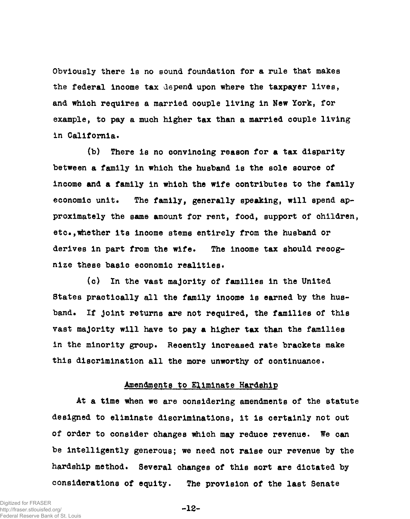Obviously there is no sound foundation for a rule that makes the federal income tax depend upon where the taxpayer lives, and which requires a married couple living in New York, for example, to pay a much higher tax than a married couple living in California.

(b) There is no convincing reason for a tax disparity between a family in which the husband is the sole source of income and a family in whioh the wife contributes to the family economic unit. The family, generally speaking, will spend approximately the same amount for rent, food, support of children, etc.,whether its income stems entirely from the husband or derives in part from the wife. The inoome tax should recognize these basic economic realities.

(c) In the vast majority of families in the United States practically all the family inoome is earned by the husband. If Joint returns are not required, the families of this vast majority will have to pay a higher tax than the families in the minority group. Recently increased rate brackets make this discrimination all the more unworthy of continuance.

#### Amendments to Eliminate Hardship

At a time when we are considering amendments of the statute designed to eliminate discriminations, it is certainly not out of order to consider changes which may reduce revenue. We can be intelligently generous; we need not raise our revenue by the hardship method. Several changes of this sort are dictated by considerations of equity. The provision of the last Senate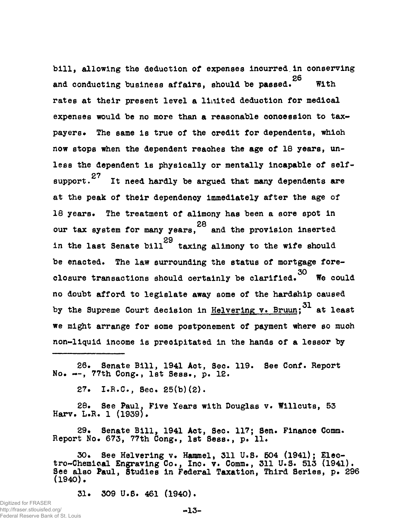bill, allowing the deduction of expenses incurred in conserving 26 With and conducting business affairs, showledge passed. With  $\frac{1}{2}$ rates at their present level a limited deduction for medical expenses would be no more than a reasonable oonoession to taxpayers. payers. The same is true of the credit for dependents, which now stops when the dependent reaches the age of 18 years, un-<br>less the dependent is physically or mentally incapable of self- $27$   $\sigma$  and  $27$   $\sigma$  and  $\sigma$  and  $\sigma$  and  $\sigma$  and  $\sigma$  self-  $27$   $\sigma$  and  $\sigma$  self-  $27$   $\sigma$  and  $\sigma$  and  $\sigma$  and  $\sigma$  and  $\sigma$  and  $\sigma$  and  $\sigma$  and  $\sigma$  and  $\sigma$  and  $\sigma$  and  $\sigma$  and  $\sigma$  and  $\sigma$  and  $\sigma$  and  $s_{\text{in}}$  is a substitute and  $s_{\text{in}}$  are argued that many dependents are  $\frac{1}{2}$  the peak of the dependency immediately after the age of  $\frac{1}{2}$  $\frac{1}{18}$  years. The treatment of alimony has been a sort in  $\frac{1}{18}$ our tax system for many years,  $\tilde{ }$  and the provision inserted in the last Senate bill  $29$  taxing alimony to the wife should be enacted. The law surrounding the status of mortgage fore-30 closure transactions should certainly be clarified. We could no doubt afford to legislate away some of the hardship caused by the Supreme Court decision in Helvering v. Bruun; 31 at least we might arrange for some postponement of payment where so much non-liquid income is precipitated in the hands of a lessor by

26. Senate Bill, 1941 Act, Sec. 119. See Conf. Report No. — , 77th Cong., 1st Sess., p. 12.

non-liquid income is preoipitated in the hands of a lessor by

27. I.R.C., Sec. 25(b)(2).

28. See Paul. Five Years with Douglas v. Willcuts, 53 Harv. L.R. 1 (1939).

29. Senate Bill, 1941 Act, Sec. 117; Sen. Finance Comm. Report No. 673, 77th Cong., 1st Sess., p. 11.

30. See Helvering v. Hammel, 311 U.S. 504 (1941); Electro-Chemioal Engraving Co., Inc. v. Comm., 311 U.S. 513 (1941). See also Paul, Studies in Federal Taxation, Third Series, p. 296 (1940).

31. 309 U.S. 461 (1940).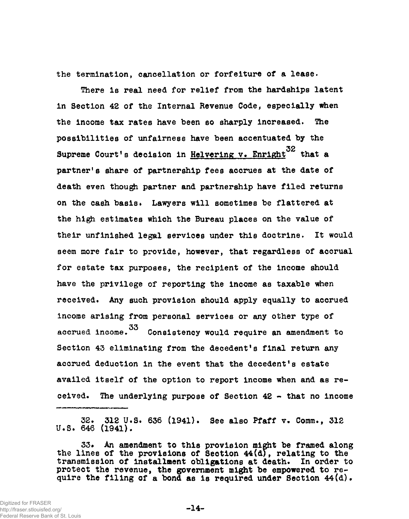the termination, cancellation or forfeiture of a lease.

There is real need for relief from the hardships latent in Section 42 of the Internal Revenue Code, especially when the income tax rates have been so sharply increased. The possibilities of unfairness have been accentuated by the Supreme Court's decision in Helvering v. Enright<sup>32</sup> that a partner's share of partnership fees accrues at the date of partner's share of partnership fees accrues at the date of death even though partner and partnership have filed returns on the cash basis. Lawyers will sometimes be flattered at their unfinished legal services under this doctrine. It would seem more fair to provide, however, that regardless of accrual for estate tax purposes, the recipient of the income should have the privilege of reporting the income as taxable when received. Any such provision should apply equally to accrued income arising from personal services or any other type of accrued income. 33 Consistency would require an amendment to Section 43 eliminating from the decedent's final return any accrued deduction in the event that the decedent's estate availed itself of the option to report income when and as received. The underlying purpose of Section  $42$  - that no income

32. 312 U.S. 636 (1941). See also Pfaff v. Comm., 312 U.S. 646 (1941).

ceived. The underlying purpose of Section 42 - the underlying purpose of Section 42 - that no income of Section 42 - that no income of Section 42 - that no income of Section 42 - that no income of Section 42 - that no inc

33. An amendment to this provision might be framed along the lines of the provisions of Section  $44(d)$ , relating to the transmission of installment obligations at death. In order to protect the revenue, the government might be empowered to require the filing of a bond as is required under Section  $44(d)$ .

**-14-**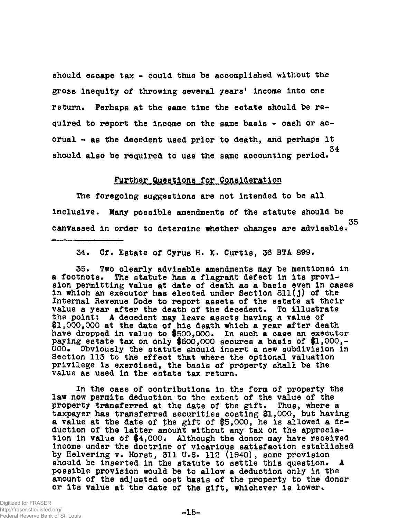should esoape tax - could thus be accomplished without the gross inequity of throwing several years' income into one return. Perhaps at the same time the estate should be required to report the income on the same basis - cash or accrual - as the decedent used prior to death, and perhaps it 34 should also be required to use the same aooounting period.

### Further Questions for Consideration

The foregoing suggestions are not intended to be all inclusive. Many possible amendments of the statute should be 35 canvassed in order to determine whether changes are advisable.

34. Cf. Estate of Cyrus H. K. Curtis, 36 BTA 899.

35. Two clearly advisable amendments may be mentioned in a footnote. The statute has a flagrant defect in its provision permitting value at date of death as a basis even in cases in which an executor has eleoted under Section 811(J) of the Internal Revenue Code to report assets of the estate at their value a year after the death of the decedent. To illustrate the point: A decedent may leave assets having a value of \$1,000,000 at the date of his death which a year after death have dropped in value to #500,000. In such a case an executor paying estate tax on only \$500,000 secures a basis of \$1,000,-<br>000. Obviously the statute should insert a new subdivision in Obviously the statute should insert a new subdivision in Section 113 to the effect that where the optional valuation privilege is exercised, the basis of property shall be the value as used in the estate tax return.

In the case of contributions in the form of property the law now permits deduction to the extent of the value of the property transferred at the date of the gift. Thus, where a taxpayer has transferred securities costing #1,000, but having a value at the date of the gift of #5,000, he is allowed a deduction of the latter amount without any tax on the appreciation in value of #4,000. Although the donor may have received income under the doctrine of vicarious satisfaction established by Helverlng v. Horst, 311 U.S. 112 (1940), some provision should be inserted in the statute to settle this question. A possible provision would be to allow a deduction only in the amount of the adjusted cost basis of the property to the donor or its value at the date of the gift, whichever is lower.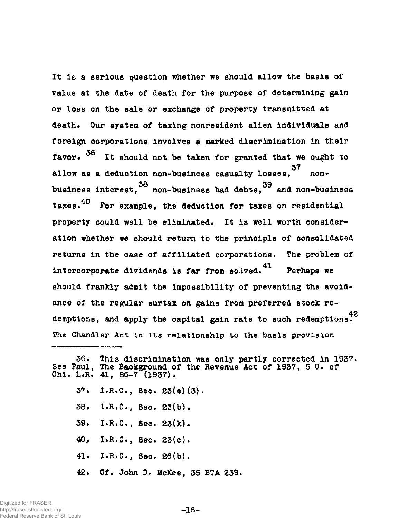It is a serious question whether we should allow the basis of value at the date of death for the purpose of determining gain or loss on the sale or exchange of property transmitted at death. Our system of taxing nonresident alien Individuals and foreign corporations involves a marked discrimination in their 36 favor. It should not be taken for granted that we ought to 37 allow as a deduction non-business casualty losses, nonbusiness interest, 38 non-business bad debts, 39 and non-business taxes.<sup>40</sup> For example, the deduction for taxes on residential property could well be eliminated. It is well worth consideration whether we should return to the principle of consolidated returns in the case of affiliated corporations. The problem of intercorporate dividends is far from solved.  $41$  Perhaps we should frankly admit the impossibility of preventing the avoidance of the regular surtax on gains from preferred stock redemptions and apply the cenital gain pate to such pedemptions  $42$ demptions, and apply the capital gain rate to such redemptions.

The Chandler Act in its relationship to the Chandler Act in its relationship to the basis provision in its relationship to the basis provision in its relationship to the basis provision in the basis provision in the basis

- 37» I.R.C., Sec. 23(e)(3).
- 38. I.R.C., Sec. 23(b),
- 39. I.R.C., Bec. 23(k).
- $40.$  I.R.C., Sec.  $23(c)$ .
- 41. I.R.C., Sec. 26(b).
- 42. Cf. John D. McKee, 35 BTA 239.

<sup>36.</sup> This discrimination was only partly corrected in 1937, See Paul, The Background of the Revenue Act of 1937, 5 U. of Chi. L.R.  $41, 86-7$  (1937).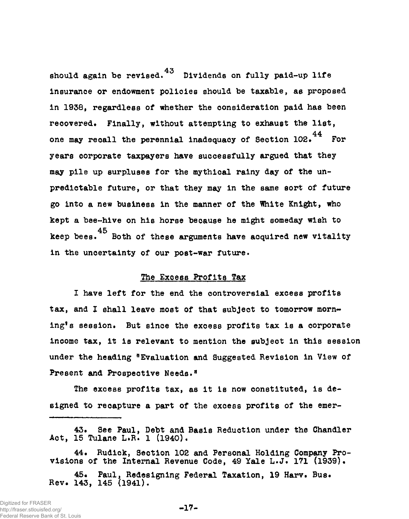should again be revised. Dividends on fully paid-up life insurance or endowment policies should be taxable, as proposed in 1938, regardless of whether the consideration paid has been recovered. Finally, without attempting to exhaust the list, 44 one may recall the perennial inadequacy of Section 102. For years corporate taxpayers have successfully argued that they may pile up surpluses for the mythical rainy day of the unpredictable future, or that they may in the same sort of future, or that they may in the same sort of future go into a new business in the manner of the manner of the  $\mathcal{L}_\mathcal{A}$  , which  $\mathcal{L}_\mathcal{A}$  are  $\mathcal{L}_\mathcal{A}$  , whose into a new business in the White Knight, whose into a new business in the Mhite Knight, where  $\mathcal$ kept a bee-hive on his horse because he might someday wish to keep bees.<sup>45</sup> Both of these arguments have acquired new vitality in the uncertainty of our post-war future.

#### The Excess Profits Tax

I have left for the end the controversial excess profits tax, and I shall leave most of that subject to tomorrow morning's session. But since the excess profits tax is a corporate income tax, it is relevant to mention the subject in this session under the heading "Evaluation and Suggested Revision in View of Present and Prospective Needs."

The excess profits tax, as it is now constituted, is designed to recapture a part of the excess profits of the emer-

<sup>43.</sup> See Paul, Debt and Basis Reduction under the Chandler Act, 15 Tulane L.R. 1 (1940).

<sup>44.</sup> Rudick, Section 102 and Personal Holding Company Provisions of the Internal Revenue Code, 49 Yale L.J. 171 (1939).

<sup>45.</sup> Paul, Redesigning Federal Taxation, 19 Harv. Bus. Rev. 143, 145 (1941).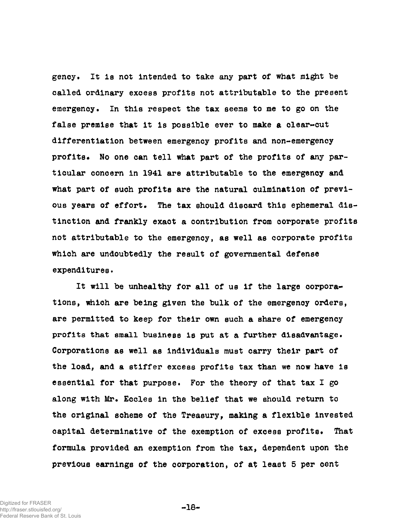gency. It is not intended to take any part of what might be called ordinary excess profits not attributable to the present emergency. In this respect the tax seems to me to go on the false premise that it is possible ever to make & clear-cut differentiation between emergency profits and non-emergency profits. No one can tell what part of the profits of any particular concern in 1941 are attributable to the emergency and what part of such profits are the natural culmination of previous years of effort. The tax should discard this ephemeral distinction and frankly exact a contribution from corporate profits not attributable to the emergency, as well as corporate profits which are undoubtedly the result of governmental defense expenditures.

It will be unhealthy for all of us if the large corporations, which are being given the bulk of the emergency orders, are permitted to keep for their own such a share of emergency profits that small business is put at a further disadvantage. Corporations as well as individuals must carry their part of the load, and a stiffer excess profits tax than we now have is essential for that purpose. For the theory of that tax I go along with Mr. Eccles in the belief that we should return to the original scheme of the Treasury, making a flexible invested capital determinative of the exemption of excess profits. That formula provided an exemption from the tax, dependent upon the previous earnings of the corporation, of at least 5 per cent

**-18-**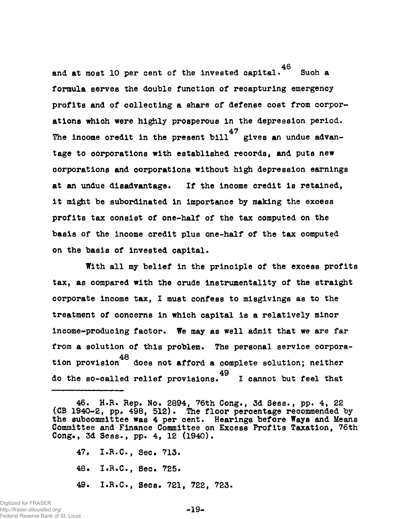and at most 10 per cent of the invested capital.  $46$  Such a formula serves the double function of recapturing emergency profits and of collecting a share of defense cost from corporations which were highly prosperous in the depression period. The income credit in the present bill gives an undue advan- $T_{\rm eff}$  income credit in the present bill gives an unducum advance advance advance advance advance advance advance advance advance advance advance advance advance advance advance advance advance advance advance advance a  $\tau$ corporations and corporations without high depression earnings at an unducum disadvantage. If the income credit is retained,  $\frac{1}{\sqrt{2}}$  $\mathbf{u}$  might be substituted in Importance by making the excess substituted in Importance by making the excess substituted in  $\mathbf{v}$ profits tax consist of one-half of the tax oomputed on the basis of the income credit plus one-half of the tax computed  $\mathcal{L}_{\mathcal{A}}$ on the basis of invested capital.

With all my belief in the principle of the excess profits tax, as compared with the crude Instrumentality of the straight corporate income tax, I must confess to misgivings as to the treatment of concerns in which capital is a relatively minor income-producing factor. We may as well admit that we are far from a solution of this problem. The personal service corporation provision<sup>48</sup> does not afford a complete solution; neither do the so-called relief provisions.<sup> $15$ </sup> I cannot but feel that

- 47. I.R.C., Sec. 713.
- 48. I.R.C., Sec. 725.
- 49. I.R.C., Sees. 721, 722, 723.

<sup>46.</sup> H.R. Rep. No. 2894, 76th Cong., 3d Sess., pp. 4, 22 (CB 1940-2, pp. 498, 512). The floor percentage recommended by the subcommittee was 4 per cent. Hearings before Ways and Means Committee and Finance Committee on Excess Profits Taxation, 76th Cong», 3d Sess., pp. 4, 12 (1940).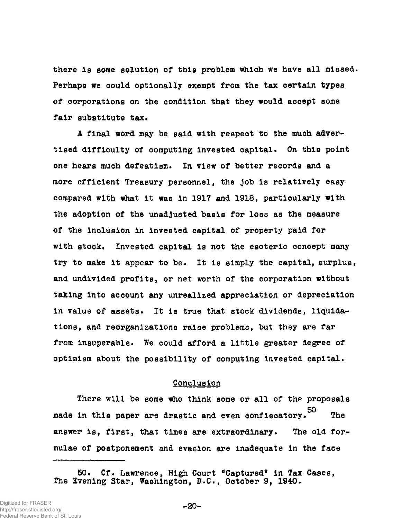there Is some solution of this problem which we have all missed. Perhaps we could optionally exempt from the tax certain types of corporations on the condition that they would accept some fair substitute tax.

A final word may be said with respect to the much advertised difficulty of computing invested capital. On this point one hears much defeatism. In view of better records and a more efficient Treasury personnel, the Job Is relatively easy compared with what it was in 1917 and 1918, particularly with the adoption of the unadjusted basis for loss as the measure of the inclusion in invested capital of property paid for with stock. Invested capital is not the esoteric concept many try to make it appear to be. It is simply the capital, surplus, and undivided profits, or net worth of the corporation without taking into account any unrealized appreciation or depreciation in value of assets. It is true that stock dividends, liquidations, and reorganizations raise problems, but they are far from insuperable. We could afford a little greater degree of optimism about the possibility of computing invested capital.

# Conclusion

There will be some who think some or all of the proposals 50 **The** made in this paper are drastic and even confiscatory. The answer is, first, that times are extraordinary. The old foranswer is, first, that times are extraordinary. The old for-dimensional  $\mathcal{O}_\mathcal{A}$ mulae of postponement and evasion are inadequate in the face mulae of postponement and evasion are in the face of postponement and evasion are in the face of postponement and face of postponement and evasion are in the face of postponement and evasion are in the face of postponement

<sup>50%</sup> Cf. Lawrence, High Court "Captured" in Tax Cases, The Evening Star, Washington, D.C., October 9, 1940.